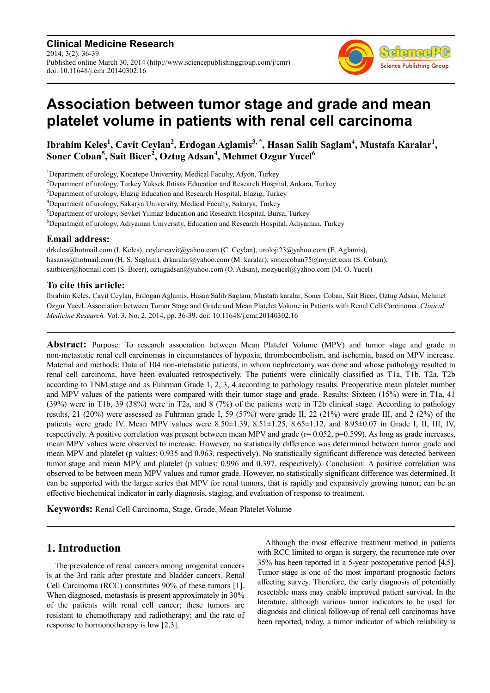**Clinical Medicine Research** 2014; 3(2): 36-39 Published online March 30, 2014 (http://www.sciencepublishinggroup.com/j/cmr) doi: 10.11648/j.cmr.20140302.16



# **Association between tumor stage and grade and mean platelet volume in patients with renal cell carcinoma**

**Ibrahim Keles<sup>1</sup> , Cavit Ceylan<sup>2</sup> , Erdogan Aglamis3, \*, Hasan Salih Saglam<sup>4</sup> , Mustafa Karalar<sup>1</sup> , Soner Coban<sup>5</sup> , Sait Bicer<sup>2</sup> , Oztug Adsan<sup>4</sup> , Mehmet Ozgur Yucel<sup>6</sup>**

<sup>1</sup>Department of urology, Kocatepe University, Medical Faculty, Afyon, Turkey

<sup>2</sup>Department of urology, Turkey Yuksek Ihtisas Education and Research Hospital, Ankara, Turkey

<sup>3</sup>Department of urology, Elazig Education and Research Hospital, Elazig, Turkey

<sup>4</sup>Department of urology, Sakarya University, Medical Faculty, Sakarya, Turkey

<sup>5</sup>Department of urology, Sevket Yilmaz Education and Research Hospital, Bursa, Turkey

<sup>6</sup>Department of urology, Adiyaman University, Education and Research Hospital, Adiyaman, Turkey

#### **Email address:**

drkeles@hotmail.com (I. Keles), ceylancavit@yahoo.com (C. Ceylan), uroloji23@yahoo.com (E. Aglamis), hasanss@hotmail.com (H. S. Saglam), drkaralar@yahoo.com (M. karalar), sonercoban75@mynet.com (S. Coban), saitbicer@hotmail.com (S. Bicer), oztugadsan@yahoo.com (O. Adsan), mozyucel@yahoo.com (M. O. Yucel)

#### **To cite this article:**

Ibrahim Keles, Cavit Ceylan, Erdogan Aglamis, Hasan Salih Saglam, Mustafa karalar, Soner Coban, Sait Bicer, Oztug Adsan, Mehmet Ozgur Yucel. Association between Tumor Stage and Grade and Mean Platelet Volume in Patients with Renal Cell Carcinoma. *Clinical Medicine Research.* Vol. 3, No. 2, 2014, pp. 36-39. doi: 10.11648/j.cmr.20140302.16

**Abstract:** Purpose: To research association between Mean Platelet Volume (MPV) and tumor stage and grade in non-metastatic renal cell carcinomas in circumstances of hypoxia, thromboembolism, and ischemia, based on MPV increase. Material and methods: Data of 104 non-metastatic patients, in whom nephrectomy was done and whose pathology resulted in renal cell carcinoma, have been evaluated retrospectively. The patients were clinically classified as T1a, T1b, T2a, T2b according to TNM stage and as Fuhrman Grade 1, 2, 3, 4 according to pathology results. Preoperative mean platelet number and MPV values of the patients were compared with their tumor stage and grade. Results: Sixteen (15%) were in T1a, 41 (39%) were in T1b, 39 (38%) were in T2a, and 8 (7%) of the patients were in T2b clinical stage. According to pathology results, 21 (20%) were assessed as Fuhrman grade I, 59 (57%) were grade II, 22 (21%) were grade III, and 2 (2%) of the patients were grade IV. Mean MPV values were  $8.50\pm1.39$ ,  $8.51\pm1.25$ ,  $8.65\pm1.12$ , and  $8.95\pm0.07$  in Grade I, II, III, IV, respectively. A positive correlation was present between mean MPV and grade ( $r=0.052$ ,  $p=0.599$ ). As long as grade increases, mean MPV values were observed to increase. However, no statistically difference was determined between tumor grade and mean MPV and platelet (p values: 0.935 and 0.963, respectively). No statistically significant difference was detected between tumor stage and mean MPV and platelet (p values: 0.996 and 0.397, respectively). Conclusion: A positive correlation was observed to be between mean MPV values and tumor grade. However, no statistically significant difference was determined. It can be supported with the larger series that MPV for renal tumors, that is rapidly and expansively growing tumor, can be an effective biochemical indicator in early diagnosis, staging, and evaluation of response to treatment.

**Keywords:** Renal Cell Carcinoma, Stage, Grade, Mean Platelet Volume

### **1. Introduction**

The prevalence of renal cancers among urogenital cancers is at the 3rd rank after prostate and bladder cancers. Renal Cell Carcinoma (RCC) constitutes 90% of these tumors [1]. When diagnosed, metastasis is present approximately in 30% of the patients with renal cell cancer; these tumors are resistant to chemotherapy and radiotherapy; and the rate of response to hormonotherapy is low [2,3].

Although the most effective treatment method in patients with RCC limited to organ is surgery, the recurrence rate over 35% has been reported in a 5-year postoperative period [4,5]. Tumor stage is one of the most important prognostic factors affecting survey. Therefore, the early diagnosis of potentially resectable mass may enable improved patient survival. In the literature, although various tumor indicators to be used for diagnosis and clinical follow-up of renal cell carcinomas have been reported, today, a tumor indicator of which reliability is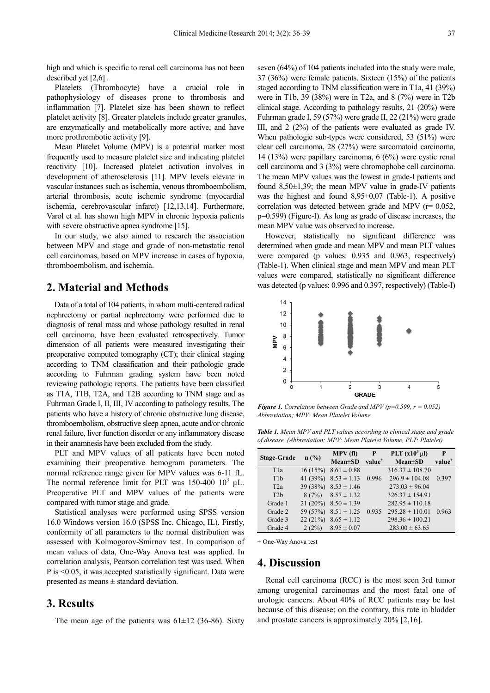high and which is specific to renal cell carcinoma has not been described yet [2,6] .

Platelets (Thrombocyte) have a crucial role in pathophysiology of diseases prone to thrombosis and inflammation [7]. Platelet size has been shown to reflect platelet activity [8]. Greater platelets include greater granules, are enzymatically and metabolically more active, and have more prothrombotic activity [9].

Mean Platelet Volume (MPV) is a potential marker most frequently used to measure platelet size and indicating platelet reactivity [10]. Increased platelet activation involves in development of atherosclerosis [11]. MPV levels elevate in vascular instances such as ischemia, venous thromboembolism, arterial thrombosis, acute ischemic syndrome (myocardial ischemia, cerebrovascular infarct) [12,13,14]. Furthermore, Varol et al. has shown high MPV in chronic hypoxia patients with severe obstructive apnea syndrome [15].

In our study, we also aimed to research the association between MPV and stage and grade of non-metastatic renal cell carcinomas, based on MPV increase in cases of hypoxia, thromboembolism, and ischemia.

# **2. Material and Methods**

Data of a total of 104 patients, in whom multi-centered radical nephrectomy or partial nephrectomy were performed due to diagnosis of renal mass and whose pathology resulted in renal cell carcinoma, have been evaluated retrospectively. Tumor dimension of all patients were measured investigating their preoperative computed tomography (CT); their clinical staging according to TNM classification and their pathologic grade according to Fuhrman grading system have been noted reviewing pathologic reports. The patients have been classified as T1A, T1B, T2A, and T2B according to TNM stage and as Fuhrman Grade I, II, III, IV according to pathology results. The patients who have a history of chronic obstructive lung disease, thromboembolism, obstructive sleep apnea, acute and/or chronic renal failure, liver function disorder or any inflammatory disease in their anamnesis have been excluded from the study.

PLT and MPV values of all patients have been noted examining their preoperative hemogram parameters. The normal reference range given for MPV values was 6-11 fL. The normal reference limit for PLT was 150-400  $10^3$   $\mu$ L. Preoperative PLT and MPV values of the patients were compared with tumor stage and grade.

Statistical analyses were performed using SPSS version 16.0 Windows version 16.0 (SPSS Inc. Chicago, IL). Firstly, conformity of all parameters to the normal distribution was assessed with Kolmogorov-Smirnov test. In comparison of mean values of data, One-Way Anova test was applied. In correlation analysis, Pearson correlation test was used. When P is <0.05, it was accepted statistically significant. Data were presented as means ± standard deviation.

#### **3. Results**

The mean age of the patients was  $61\pm12$  (36-86). Sixty

seven (64%) of 104 patients included into the study were male, 37 (36%) were female patients. Sixteen (15%) of the patients staged according to TNM classification were in T1a, 41 (39%) were in T1b, 39 (38%) were in T2a, and 8 (7%) were in T2b clinical stage. According to pathology results, 21 (20%) were Fuhrman grade I, 59 (57%) were grade II, 22 (21%) were grade III, and 2 (2%) of the patients were evaluated as grade IV. When pathologic sub-types were considered, 53 (51%) were clear cell carcinoma, 28 (27%) were sarcomatoid carcinoma, 14 (13%) were papillary carcinoma, 6 (6%) were cystic renal cell carcinoma and 3 (3%) were chromophobe cell carcinoma. The mean MPV values was the lowest in grade-I patients and found  $8.50\pm1.39$ ; the mean MPV value in grade-IV patients was the highest and found 8,95±0,07 (Table-1). A positive correlation was detected between grade and MPV (r= 0.052, p=0.599) (Figure-I). As long as grade of disease increases, the mean MPV value was observed to increase.

However, statistically no significant difference was determined when grade and mean MPV and mean PLT values were compared (p values: 0.935 and 0.963, respectively) (Table-1). When clinical stage and mean MPV and mean PLT values were compared, statistically no significant difference was detected (p values: 0.996 and 0.397, respectively) (Table-I)



*Figure 1. Correlation between Grade and MPV (p=0.599, r = 0.052) Abbreviation; MPV: Mean Platelet Volume* 

*Table 1. Mean MPV and PLT values according to clinical stage and grade of disease. (Abbreviation; MPV: Mean Platelet Volume, PLT: Platelet)* 

| <b>Stage-Grade</b> | $n$ (%)    | MPV(f)                     | $\mathbf{P}$       | PLT $(x10^3 \mu l)$ | P                  |
|--------------------|------------|----------------------------|--------------------|---------------------|--------------------|
|                    |            | $Mean \pm SD$              | value <sup>+</sup> | $Mean \pm SD$       | value <sup>+</sup> |
| T <sub>1</sub> a   |            | $16(15\%)$ $8.61 \pm 0.88$ |                    | $316.37 \pm 108.70$ |                    |
| T <sub>1</sub> b   | 41 (39%)   | $8.53 \pm 1.13$            | 0.996              | $296.9 \pm 104.08$  | 0.397              |
| T2a                | 39(38%)    | $8.53 \pm 1.46$            |                    | $273.03 \pm 96.04$  |                    |
| T2h                |            | $8(7\%)$ $8.57 \pm 1.32$   |                    | $326.37 \pm 154.91$ |                    |
| Grade 1            | $21(20\%)$ | $8.50 \pm 1.39$            |                    | $282.95 \pm 110.18$ |                    |
| Grade 2            | 59 (57%)   | $8.51 \pm 1.25$            | 0.935              | $295.28 \pm 110.01$ | 0.963              |
| Grade 3            | 22(21%)    | $8.65 \pm 1.12$            |                    | $298.36 \pm 100.21$ |                    |
| Grade 4            | 2(2%)      | $8.95 \pm 0.07$            |                    | $283.00 \pm 63.65$  |                    |

+ One-Way Anova test

#### **4. Discussion**

Renal cell carcinoma (RCC) is the most seen 3rd tumor among urogenital carcinomas and the most fatal one of urologic cancers. About 40% of RCC patients may be lost because of this disease; on the contrary, this rate in bladder and prostate cancers is approximately 20% [2,16].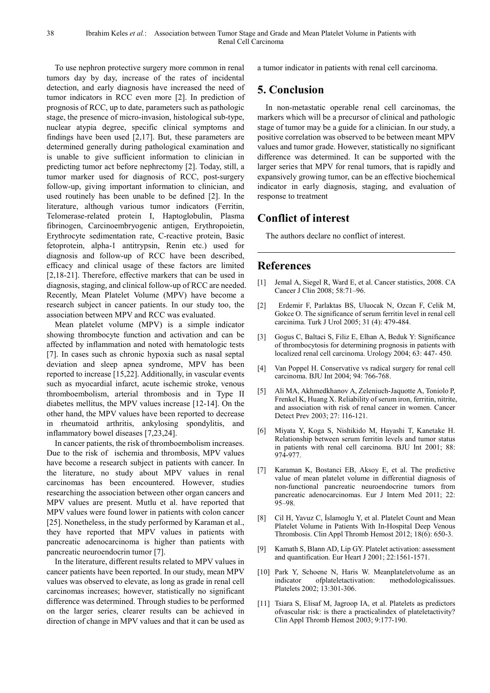To use nephron protective surgery more common in renal tumors day by day, increase of the rates of incidental detection, and early diagnosis have increased the need of tumor indicators in RCC even more [2]. In prediction of prognosis of RCC, up to date, parameters such as pathologic stage, the presence of micro-invasion, histological sub-type, nuclear atypia degree, specific clinical symptoms and findings have been used [2,17]. But, these parameters are determined generally during pathological examination and is unable to give sufficient information to clinician in predicting tumor act before nephrectomy [2]. Today, still, a tumor marker used for diagnosis of RCC, post-surgery follow-up, giving important information to clinician, and used routinely has been unable to be defined [2]. In the literature, although various tumor indicators (Ferritin, Telomerase-related protein I, Haptoglobulin, Plasma fibrinogen, Carcinoembryogenic antigen, Erythropoietin, Erythrocyte sedimentation rate, C-reactive protein, Basic fetoprotein, alpha-1 antitrypsin, Renin etc.) used for diagnosis and follow-up of RCC have been described, efficacy and clinical usage of these factors are limited [2,18-21]. Therefore, effective markers that can be used in diagnosis, staging, and clinical follow-up of RCC are needed. Recently, Mean Platelet Volume (MPV) have become a research subject in cancer patients. In our study too, the association between MPV and RCC was evaluated.

Mean platelet volume (MPV) is a simple indicator showing thrombocyte function and activation and can be affected by inflammation and noted with hematologic tests [7]. In cases such as chronic hypoxia such as nasal septal deviation and sleep apnea syndrome, MPV has been reported to increase [15,22]. Additionally, in vascular events such as myocardial infarct, acute ischemic stroke, venous thromboembolism, arterial thrombosis and in Type II diabetes mellitus, the MPV values increase [12-14]. On the other hand, the MPV values have been reported to decrease in rheumatoid arthritis, ankylosing spondylitis, and inflammatory bowel diseases [7,23,24].

In cancer patients, the risk of thromboembolism increases. Due to the risk of ischemia and thrombosis, MPV values have become a research subject in patients with cancer. In the literature, no study about MPV values in renal carcinomas has been encountered. However, studies researching the association between other organ cancers and MPV values are present. Mutlu et al. have reported that MPV values were found lower in patients with colon cancer [25]. Nonetheless, in the study performed by Karaman et al., they have reported that MPV values in patients with pancreatic adenocarcinoma is higher than patients with pancreatic neuroendocrin tumor [7].

In the literature, different results related to MPV values in cancer patients have been reported. In our study, mean MPV values was observed to elevate, as long as grade in renal cell carcinomas increases; however, statistically no significant difference was determined. Through studies to be performed on the larger series, clearer results can be achieved in direction of change in MPV values and that it can be used as

a tumor indicator in patients with renal cell carcinoma.

# **5. Conclusion**

In non-metastatic operable renal cell carcinomas, the markers which will be a precursor of clinical and pathologic stage of tumor may be a guide for a clinician. In our study, a positive correlation was observed to be between meant MPV values and tumor grade. However, statistically no significant difference was determined. It can be supported with the larger series that MPV for renal tumors, that is rapidly and expansively growing tumor, can be an effective biochemical indicator in early diagnosis, staging, and evaluation of response to treatment

# **Conflict of interest**

The authors declare no conflict of interest.

# **References**

- [1] Jemal A, Siegel R, Ward E, et al. Cancer statistics, 2008. CA Cancer J Clin 2008; 58:71–96.
- [2] Erdemir F, Parlaktas BS, Uluocak N, Ozcan F, Celik M, Gokce O. The significance of serum ferritin level in renal cell carcinima. Turk J Urol 2005; 31 (4): 479-484.
- [3] Gogus C, Baltaci S, Filiz E, Elhan A, Beduk Y: Significance of thrombocytosis for determining prognosis in patients with localized renal cell carcinoma. Urology 2004; 63: 447- 450.
- [4] Van Poppel H. Conservative vs radical surgery for renal cell carcinoma. BJU Int 2004; 94: 766-768.
- [5] Ali MA, Akhmedkhanov A, Zeleniuch-Jaquotte A, Toniolo P, Frenkel K, Huang X. Reliability of serum iron, ferritin, nitrite, and association with risk of renal cancer in women. Cancer Detect Prev 2003; 27: 116-121.
- [6] Miyata Y, Koga S, Nishikido M, Hayashi T, Kanetake H. Relationship between serum ferritin levels and tumor status in patients with renal cell carcinoma. BJU Int 2001; 88: 974-977.
- [7] Karaman K, Bostanci EB, Aksoy E, et al. The predictive value of mean platelet volume in differential diagnosis of non-functional pancreatic neuroendocrine tumors from pancreatic adenocarcinomas. Eur J Intern Med 2011; 22: 95–98.
- [8] Cil H, Yavuz C, İslamoglu Y, et al. Platelet Count and Mean Platelet Volume in Patients With In-Hospital Deep Venous Thrombosis. Clin Appl Thromb Hemost 2012; 18(6): 650-3.
- Kamath S, Blann AD, Lip GY. Platelet activation: assessment and quantification. Eur Heart J 2001; 22:1561-1571.
- [10] Park Y, Schoene N, Haris W. Meanplateletvolume as an indicator ofplateletactivation: methodologicalissues. Platelets 2002; 13:301-306.
- [11] Tsiara S, Elisaf M, Jagroop IA, et al. Platelets as predictors ofvascular risk: is there a practicalindex of plateletactivity? Clin Appl Thromb Hemost 2003; 9:177-190.